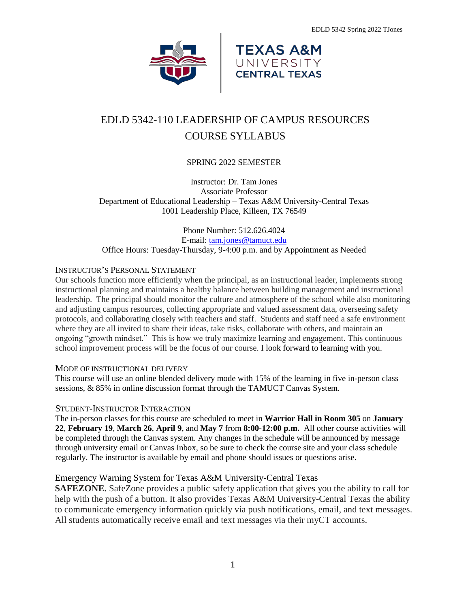



# EDLD 5342-110 LEADERSHIP OF CAMPUS RESOURCES COURSE SYLLABUS

# SPRING 2022 SEMESTER

Instructor: Dr. Tam Jones Associate Professor Department of Educational Leadership – Texas A&M University-Central Texas 1001 Leadership Place, Killeen, TX 76549

Phone Number: 512.626.4024 E-mail: [tam.jones@tamuct.edu](mailto:tam.jones@tamuct.edu) Office Hours: Tuesday-Thursday, 9-4:00 p.m. and by Appointment as Needed

# INSTRUCTOR'S PERSONAL STATEMENT

Our schools function more efficiently when the principal, as an instructional leader, implements strong instructional planning and maintains a healthy balance between building management and instructional leadership. The principal should monitor the culture and atmosphere of the school while also monitoring and adjusting campus resources, collecting appropriate and valued assessment data, overseeing safety protocols, and collaborating closely with teachers and staff. Students and staff need a safe environment where they are all invited to share their ideas, take risks, collaborate with others, and maintain an ongoing "growth mindset." This is how we truly maximize learning and engagement. This continuous school improvement process will be the focus of our course. I look forward to learning with you.

## MODE OF INSTRUCTIONAL DELIVERY

This course will use an online blended delivery mode with 15% of the learning in five in-person class sessions, & 85% in online discussion format through the TAMUCT Canvas System.

## STUDENT-INSTRUCTOR INTERACTION

The in-person classes for this course are scheduled to meet in **Warrior Hall in Room 305** on **January 22**, **February 19**, **March 26**, **April 9**, and **May 7** from **8:00-12:00 p.m.** All other course activities will be completed through the Canvas system. Any changes in the schedule will be announced by message through university email or Canvas Inbox, so be sure to check the course site and your class schedule regularly. The instructor is available by email and phone should issues or questions arise.

# Emergency Warning System for Texas A&M University-Central Texas

**SAFEZONE.** SafeZone provides a public safety application that gives you the ability to call for help with the push of a button. It also provides Texas A&M University-Central Texas the ability to communicate emergency information quickly via push notifications, email, and text messages. All students automatically receive email and text messages via their myCT accounts.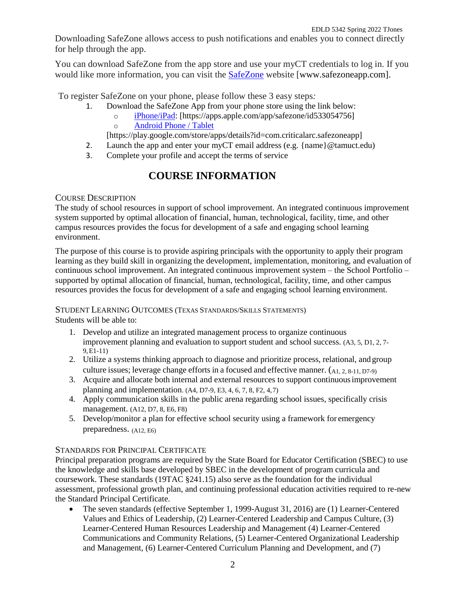Downloading SafeZone allows access to push notifications and enables you to connect directly for help through the app.

You can download SafeZone from the app store and use your myCT credentials to log in. If you would like more information, you can visit the [SafeZone](about:blank) website [www.safezoneapp.com].

To register SafeZone on your phone, please follow these 3 easy steps*:*

- 1. Download the SafeZone App from your phone store using the link below:
	- o [iPhone/iPad:](about:blank) [https://apps.apple.com/app/safezone/id533054756] o [Android Phone / Tablet](about:blank)

[https://play.google.com/store/apps/details?id=com.criticalarc.safezoneapp]

- 2. Launch the app and enter your myCT email address (e.g.  $\{\text{name}\}\@$  tamuct.edu)
- 3. Complete your profile and accept the terms of service

# **COURSE INFORMATION**

# COURSE DESCRIPTION

The study of school resources in support of school improvement. An integrated continuous improvement system supported by optimal allocation of financial, human, technological, facility, time, and other campus resources provides the focus for development of a safe and engaging school learning environment.

The purpose of this course is to provide aspiring principals with the opportunity to apply their program learning as they build skill in organizing the development, implementation, monitoring, and evaluation of continuous school improvement. An integrated continuous improvement system – the School Portfolio – supported by optimal allocation of financial, human, technological, facility, time, and other campus resources provides the focus for development of a safe and engaging school learning environment.

# STUDENT LEARNING OUTCOMES (TEXAS STANDARDS/SKILLS STATEMENTS)

Students will be able to:

- 1. Develop and utilize an integrated management process to organize continuous improvement planning and evaluation to support student and school success. (A3, 5, D1, 2, 7- 9,E1-11)
- 2. Utilize a systems thinking approach to diagnose and prioritize process, relational, and group culture issues; leverage change efforts in a focused and effective manner. (A1, 2, 8-11, D7-9)
- 3. Acquire and allocate both internal and external resources to support continuousimprovement planning and implementation.  $(A4, D7-9, E3, 4, 6, 7, 8, F2, 4, 7)$
- 4. Apply communication skills in the public arena regarding school issues, specifically crisis management. (A12, D7, 8, E6, F8)
- 5. Develop/monitor a plan for effective school security using a framework for emergency preparedness. (A12, E6)

# STANDARDS FOR PRINCIPAL CERTIFICATE

Principal preparation programs are required by the State Board for Educator Certification (SBEC) to use the knowledge and skills base developed by SBEC in the development of program curricula and coursework. These standards (19TAC §241.15) also serve as the foundation for the individual assessment, professional growth plan, and continuing professional education activities required to re-new the Standard Principal Certificate.

 The seven standards (effective September 1, 1999-August 31, 2016) are (1) Learner-Centered Values and Ethics of Leadership, (2) Learner-Centered Leadership and Campus Culture, (3) Learner-Centered Human Resources Leadership and Management (4) Learner-Centered Communications and Community Relations, (5) Learner-Centered Organizational Leadership and Management, (6) Learner-Centered Curriculum Planning and Development, and (7)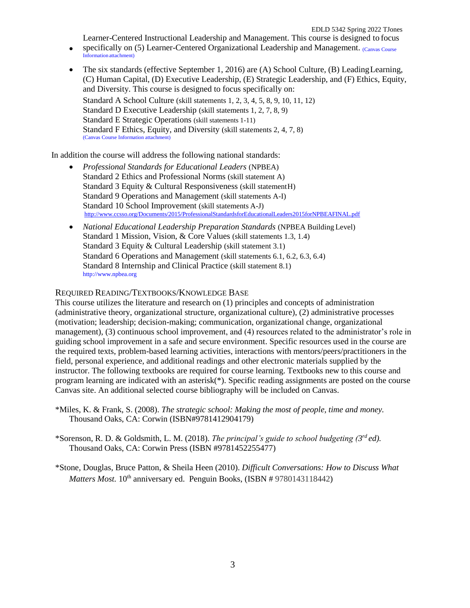Learner-Centered Instructional Leadership and Management. This course is designed to focus

- specifically on (5) Learner-Centered Organizational Leadership and Management. Canvas Course Information attachment)
- The six standards (effective September 1, 2016) are (A) School Culture, (B) Leading Learning, (C) Human Capital, (D) Executive Leadership, (E) Strategic Leadership, and (F) Ethics, Equity, and Diversity. This course is designed to focus specifically on: Standard A School Culture (skill statements 1, 2, 3, 4, 5, 8, 9, 10, 11, 12) Standard D Executive Leadership (skill statements 1, 2, 7, 8, 9) Standard E Strategic Operations (skill statements 1-11) Standard F Ethics, Equity, and Diversity (skill statements 2, 4, 7, 8) (Canvas Course Information attachment)

In addition the course will address the following national standards:

- *Professional Standards for Educational Leaders* (NPBEA) Standard 2 Ethics and Professional Norms (skill statement A) Standard 3 Equity & Cultural Responsiveness (skill statementH) Standard 9 Operations and Management (skill statements A-I) Standard 10 School Improvement (skill statements A-J) <http://www.ccsso.org/Documents/2015/ProfessionalStandardsforEducationalLeaders2015forNPBEAFINAL.pdf>
- *National Educational Leadership Preparation Standards* (NPBEA Building Level) Standard 1 Mission, Vision, & Core Values (skill statements 1.3, 1.4) Standard 3 Equity & Cultural Leadership (skill statement 3.1) Standard 6 Operations and Management (skill statements 6.1, 6.2, 6.3, 6.4) Standard 8 Internship and Clinical Practice (skill statement 8.1) [http://www.npbea.org](http://www.npbea.org/)

## REQUIRED READING/TEXTBOOKS/KNOWLEDGE BASE

This course utilizes the literature and research on (1) principles and concepts of administration (administrative theory, organizational structure, organizational culture), (2) administrative processes (motivation; leadership; decision-making; communication, organizational change, organizational management), (3) continuous school improvement, and (4) resources related to the administrator's role in guiding school improvement in a safe and secure environment. Specific resources used in the course are the required texts, problem-based learning activities, interactions with mentors/peers/practitioners in the field, personal experience, and additional readings and other electronic materials supplied by the instructor. The following textbooks are required for course learning. Textbooks new to this course and program learning are indicated with an asterisk(\*). Specific reading assignments are posted on the course Canvas site. An additional selected course bibliography will be included on Canvas.

\*Miles, K. & Frank, S. (2008). *The strategic school: Making the most of people, time and money.* Thousand Oaks, CA: Corwin (ISBN#9781412904179)

\*Sorenson, R. D. & Goldsmith, L. M. (2018). *The principal's guide to school budgeting (3 rd ed).* Thousand Oaks, CA: Corwin Press (ISBN #9781452255477)

\*Stone, Douglas, Bruce Patton, & Sheila Heen (2010). *Difficult Conversations: How to Discuss What Matters Most.* 10<sup>th</sup> anniversary ed. Penguin Books, (ISBN # 9780143118442)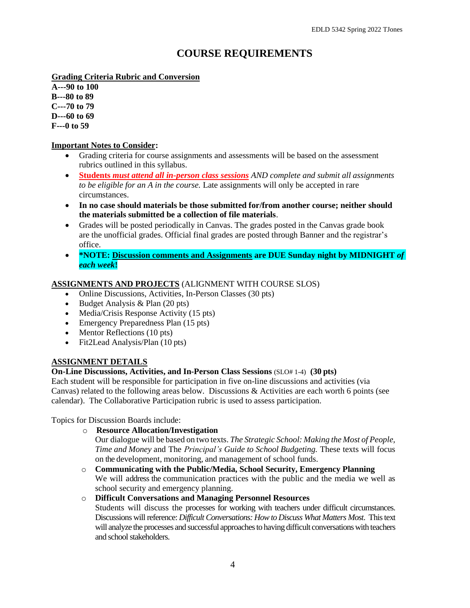# **COURSE REQUIREMENTS**

**Grading Criteria Rubric and Conversion**

**A---90 to 100 B---80 to 89 C---70 to 79 D---60 to 69 F---0 to 59**

# **Important Notes to Consider:**

- Grading criteria for course assignments and assessments will be based on the assessment rubrics outlined in this syllabus.
- **Students** *must attend all in-person class sessions AND complete and submit all assignments to be eligible for an A in the course.* Late assignments will only be accepted in rare circumstances.
- **In no case should materials be those submitted for/from another course; neither should the materials submitted be a collection of file materials**.
- Grades will be posted periodically in Canvas. The grades posted in the Canvas grade book are the unofficial grades. Official final grades are posted through Banner and the registrar's office.
- **\*NOTE: Discussion comments and Assignments are DUE Sunday night by MIDNIGHT** *of each week***!**

# **ASSIGNMENTS AND PROJECTS** (ALIGNMENT WITH COURSE SLOS)

- Online Discussions, Activities, In-Person Classes (30 pts)
- Budget Analysis & Plan (20 pts)
- Media/Crisis Response Activity (15 pts)
- Emergency Preparedness Plan (15 pts)
- Mentor Reflections (10 pts)
- Fit2Lead Analysis/Plan (10 pts)

## **ASSIGNMENT DETAILS**

## **On-Line Discussions, Activities, and In-Person Class Sessions** (SLO# 1-4) **(30 pts)**

Each student will be responsible for participation in five on-line discussions and activities (via Canvas) related to the following areas below. Discussions & Activities are each worth 6 points (see calendar). The Collaborative Participation rubric is used to assess participation.

Topics for Discussion Boards include:

o **Resource Allocation/Investigation** 

Our dialogue will be based on two texts. *The Strategic School: Making the Most of People, Time and Money* and The *Principal's Guide to School Budgeting.* These texts will focus on the development, monitoring, and management of school funds.

o **Communicating with the Public/Media, School Security, Emergency Planning** We will address the communication practices with the public and the media we well as school security and emergency planning.

# o **Difficult Conversations and Managing Personnel Resources**

Students will discuss the processes for working with teachers under difficult circumstances. Discussions will reference: *Difficult Conversations: How to Discuss What Matters Most*. This text will analyze the processes and successful approaches to having difficult conversations with teachers and school stakeholders.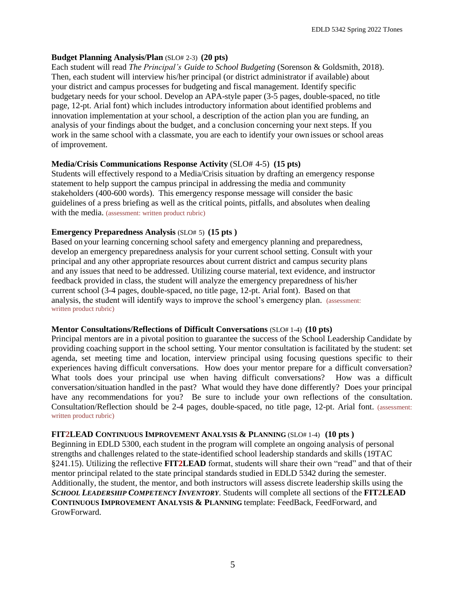#### **Budget Planning Analysis/Plan** (SLO# 2-3) **(20 pts)**

Each student will read *The Principal's Guide to School Budgeting* (Sorenson & Goldsmith, 2018). Then, each student will interview his/her principal (or district administrator if available) about your district and campus processes for budgeting and fiscal management. Identify specific budgetary needs for your school. Develop an APA-style paper (3-5 pages, double-spaced, no title page, 12-pt. Arial font) which includes introductory information about identified problems and innovation implementation at your school, a description of the action plan you are funding, an analysis of your findings about the budget, and a conclusion concerning your next steps. If you work in the same school with a classmate, you are each to identify your own issues or school areas of improvement.

#### **Media/Crisis Communications Response Activity** (SLO# 4-5) **(15 pts)**

Students will effectively respond to a Media/Crisis situation by drafting an emergency response statement to help support the campus principal in addressing the media and community stakeholders (400-600 words). This emergency response message will consider the basic guidelines of a press briefing as well as the critical points, pitfalls, and absolutes when dealing with the media. (assessment: written product rubric)

#### **Emergency Preparedness Analysis** (SLO# 5) **(15 pts )**

Based on your learning concerning school safety and emergency planning and preparedness, develop an emergency preparedness analysis for your current school setting. Consult with your principal and any other appropriate resources about current district and campus security plans and any issues that need to be addressed. Utilizing course material, text evidence, and instructor feedback provided in class, the student will analyze the emergency preparedness of his/her current school (3-4 pages, double-spaced, no title page, 12-pt. Arial font). Based on that analysis, the student will identify ways to improve the school's emergency plan. (assessment: written product rubric)

#### **Mentor Consultations/Reflections of Difficult Conversations** (SLO# 1-4) **(10 pts)**

Principal mentors are in a pivotal position to guarantee the success of the School Leadership Candidate by providing coaching support in the school setting. Your mentor consultation is facilitated by the student: set agenda, set meeting time and location, interview principal using focusing questions specific to their experiences having difficult conversations. How does your mentor prepare for a difficult conversation? What tools does your principal use when having difficult conversations? How was a difficult conversation/situation handled in the past? What would they have done differently? Does your principal have any recommendations for you? Be sure to include your own reflections of the consultation. Consultation/Reflection should be 2-4 pages, double-spaced, no title page, 12-pt. Arial font. (assessment: written product rubric)

#### **FIT2LEAD CONTINUOUS IMPROVEMENT ANALYSIS & PLANNING** (SLO# 1-4) **(10 pts )**

Beginning in EDLD 5300, each student in the program will complete an ongoing analysis of personal strengths and challenges related to the state-identified school leadership standards and skills (19TAC §241.15). Utilizing the reflective **FIT2LEAD** format, students will share their own "read" and that of their mentor principal related to the state principal standards studied in EDLD 5342 during the semester. Additionally, the student, the mentor, and both instructors will assess discrete leadership skills using the *SCHOOL LEADERSHIP COMPETENCY INVENTORY*. Students will complete all sections of the **FIT2LEAD CONTINUOUS IMPROVEMENT ANALYSIS & PLANNING** template: FeedBack, FeedForward, and GrowForward.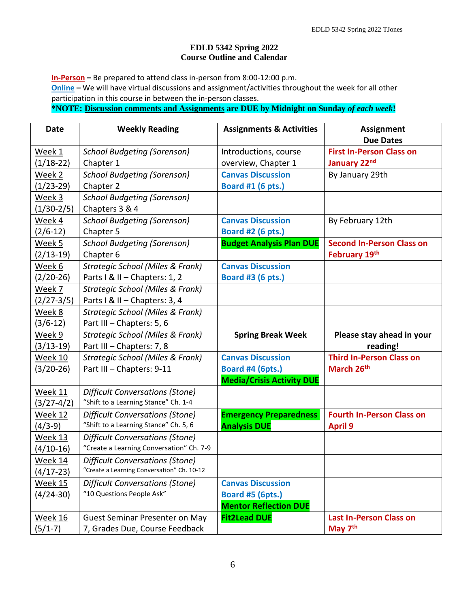# **EDLD 5342 Spring 2022 Course Outline and Calendar**

**In-Person –** Be prepared to attend class in-person from 8:00-12:00 p.m. **Online –** We will have virtual discussions and assignment/activities throughout the week for all other participation in this course in between the in-person classes.

**\*NOTE: Discussion comments and Assignments are DUE by Midnight on Sunday** *of each week***!**

| <b>Date</b>    | <b>Weekly Reading</b>                      | <b>Assignments &amp; Activities</b> | <b>Assignment</b>                |
|----------------|--------------------------------------------|-------------------------------------|----------------------------------|
|                |                                            |                                     | <b>Due Dates</b>                 |
| Week 1         | <b>School Budgeting (Sorenson)</b>         | Introductions, course               | <b>First In-Person Class on</b>  |
| $(1/18-22)$    | Chapter 1                                  | overview, Chapter 1                 | January 22nd                     |
| Week 2         | <b>School Budgeting (Sorenson)</b>         | <b>Canvas Discussion</b>            | By January 29th                  |
| $(1/23-29)$    | Chapter 2                                  | Board #1 (6 pts.)                   |                                  |
| Week 3         | <b>School Budgeting (Sorenson)</b>         |                                     |                                  |
| $(1/30-2/5)$   | Chapters 3 & 4                             |                                     |                                  |
| Week 4         | <b>School Budgeting (Sorenson)</b>         | <b>Canvas Discussion</b>            | By February 12th                 |
| $(2/6 - 12)$   | Chapter 5                                  | <b>Board #2 (6 pts.)</b>            |                                  |
| Week 5         | <b>School Budgeting (Sorenson)</b>         | <b>Budget Analysis Plan DUE</b>     | <b>Second In-Person Class on</b> |
| $(2/13-19)$    | Chapter 6                                  |                                     | February 19th                    |
| Week 6         | Strategic School (Miles & Frank)           | <b>Canvas Discussion</b>            |                                  |
| $(2/20-26)$    | Parts I & II - Chapters: 1, 2              | <b>Board #3 (6 pts.)</b>            |                                  |
| Week 7         | Strategic School (Miles & Frank)           |                                     |                                  |
| $(2/27-3/5)$   | Parts I & II - Chapters: 3, 4              |                                     |                                  |
| Week 8         | Strategic School (Miles & Frank)           |                                     |                                  |
| $(3/6 - 12)$   | Part III - Chapters: 5, 6                  |                                     |                                  |
| Week 9         | Strategic School (Miles & Frank)           | <b>Spring Break Week</b>            | Please stay ahead in your        |
| $(3/13-19)$    | Part III - Chapters: 7, 8                  |                                     | reading!                         |
| Week 10        | Strategic School (Miles & Frank)           | <b>Canvas Discussion</b>            | <b>Third In-Person Class on</b>  |
| $(3/20-26)$    | Part III - Chapters: 9-11                  | Board #4 (6pts.)                    | March 26 <sup>th</sup>           |
|                |                                            | <b>Media/Crisis Activity DUE</b>    |                                  |
| Week 11        | <b>Difficult Conversations (Stone)</b>     |                                     |                                  |
| $(3/27-4/2)$   | "Shift to a Learning Stance" Ch. 1-4       |                                     |                                  |
| <b>Week 12</b> | <b>Difficult Conversations (Stone)</b>     | <b>Emergency Preparedness</b>       | <b>Fourth In-Person Class on</b> |
| $(4/3-9)$      | "Shift to a Learning Stance" Ch. 5, 6      | <b>Analysis DUE</b>                 | <b>April 9</b>                   |
| Week 13        | Difficult Conversations (Stone)            |                                     |                                  |
| $(4/10-16)$    | "Create a Learning Conversation" Ch. 7-9   |                                     |                                  |
| Week 14        | Difficult Conversations (Stone)            |                                     |                                  |
| $(4/17-23)$    | "Create a Learning Conversation" Ch. 10-12 |                                     |                                  |
| <b>Week 15</b> | Difficult Conversations (Stone)            | <b>Canvas Discussion</b>            |                                  |
| $(4/24-30)$    | "10 Questions People Ask"                  | <b>Board #5 (6pts.)</b>             |                                  |
|                |                                            | <b>Mentor Reflection DUE</b>        |                                  |
| <b>Week 16</b> | Guest Seminar Presenter on May             | <b>Fit2Lead DUE</b>                 | <b>Last In-Person Class on</b>   |
| $(5/1-7)$      | 7, Grades Due, Course Feedback             |                                     | May 7 <sup>th</sup>              |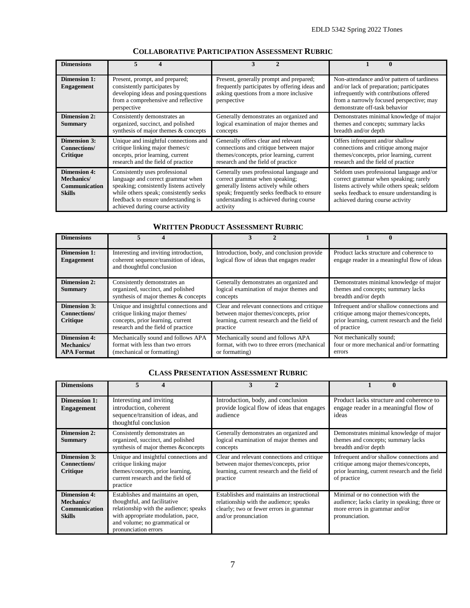| <b>Dimensions</b>                                                                  | 5                                                                                                                                                                                                                                  | 3                                                                                                                                                                                                                          | 0                                                                                                                                                                                                                |
|------------------------------------------------------------------------------------|------------------------------------------------------------------------------------------------------------------------------------------------------------------------------------------------------------------------------------|----------------------------------------------------------------------------------------------------------------------------------------------------------------------------------------------------------------------------|------------------------------------------------------------------------------------------------------------------------------------------------------------------------------------------------------------------|
| <b>Dimension 1:</b><br><b>Engagement</b>                                           | Present, prompt, and prepared;<br>consistently participates by<br>developing ideas and posing questions<br>from a comprehensive and reflective<br>perspective                                                                      | Present, generally prompt and prepared;<br>frequently participates by offering ideas and<br>asking questions from a more inclusive<br>perspective                                                                          | Non-attendance and/or pattern of tardiness<br>and/or lack of preparation; participates<br>infrequently with contributions offered<br>from a narrowly focused perspective; may<br>demonstrate off-task behavior   |
| <b>Dimension 2:</b><br><b>Summary</b>                                              | Consistently demonstrates an<br>organized, succinct, and polished<br>synthesis of major themes & concepts                                                                                                                          | Generally demonstrates an organized and<br>logical examination of major themes and<br>concepts                                                                                                                             | Demonstrates minimal knowledge of major<br>themes and concepts; summary lacks<br>breadth and/or depth                                                                                                            |
| <b>Dimension 3:</b><br><b>Connections/</b><br>Critique                             | Unique and insightful connections and<br>critique linking major themes/c<br>oncepts, prior learning, current<br>research and the field of practice                                                                                 | Generally offers clear and relevant<br>connections and critique between major<br>themes/concepts, prior learning, current<br>research and the field of practice                                                            | Offers infrequent and/or shallow<br>connections and critique among major<br>themes/concepts, prior learning, current<br>research and the field of practice                                                       |
| <b>Dimension 4:</b><br><b>Mechanics</b> /<br><b>Communication</b><br><b>Skills</b> | Consistently uses professional<br>language and correct grammar when<br>speaking; consistently listens actively<br>while others speak; consistently seeks<br>feedback to ensure understanding is<br>achieved during course activity | Generally uses professional language and<br>correct grammar when speaking;<br>generally listens actively while others<br>speak; frequently seeks feedback to ensure<br>understanding is achieved during course<br>activity | Seldom uses professional language and/or<br>correct grammar when speaking; rarely<br>listens actively while others speak; seldom<br>seeks feedback to ensure understanding is<br>achieved during course activity |

# **COLLABORATIVE PARTICIPATION ASSESSMENT RUBRIC**

## **WRITTEN PRODUCT ASSESSMENT RUBRIC**

| <b>Dimensions</b>                                      |                                                                                                                                                    |                                                                                                                                                |                                                                                                                                                     |
|--------------------------------------------------------|----------------------------------------------------------------------------------------------------------------------------------------------------|------------------------------------------------------------------------------------------------------------------------------------------------|-----------------------------------------------------------------------------------------------------------------------------------------------------|
| <b>Dimension 1:</b><br><b>Engagement</b>               | Interesting and inviting introduction,<br>coherent sequence/transition of ideas,<br>and thoughtful conclusion                                      | Introduction, body, and conclusion provide<br>logical flow of ideas that engages reader                                                        | Product lacks structure and coherence to<br>engage reader in a meaningful flow of ideas                                                             |
| <b>Dimension 2:</b><br><b>Summary</b>                  | Consistently demonstrates an<br>organized, succinct, and polished<br>synthesis of major themes & concepts                                          | Generally demonstrates an organized and<br>logical examination of major themes and<br>concepts                                                 | Demonstrates minimal knowledge of major<br>themes and concepts; summary lacks<br>breadth and/or depth                                               |
| <b>Dimension 3:</b><br>Connections/<br><b>Critique</b> | Unique and insightful connections and<br>critique linking major themes/<br>concepts, prior learning, current<br>research and the field of practice | Clear and relevant connections and critique<br>between major themes/concepts, prior<br>learning, current research and the field of<br>practice | Infrequent and/or shallow connections and<br>critique among major themes/concepts,<br>prior learning, current research and the field<br>of practice |
| <b>Dimension 4:</b><br>Mechanics/<br><b>APA Format</b> | Mechanically sound and follows APA<br>format with less than two errors<br>(mechanical or formatting)                                               | Mechanically sound and follows APA<br>format, with two to three errors (mechanical<br>or formatting)                                           | Not mechanically sound;<br>four or more mechanical and/or formatting<br>errors                                                                      |

# **CLASS PRESENTATION ASSESSMENT RUBRIC**

| <b>Dimensions</b>                                                   | 5<br>4                                                                                                                                                                                                      |                                                                                                                                                         |                                                                                                                                                     |
|---------------------------------------------------------------------|-------------------------------------------------------------------------------------------------------------------------------------------------------------------------------------------------------------|---------------------------------------------------------------------------------------------------------------------------------------------------------|-----------------------------------------------------------------------------------------------------------------------------------------------------|
| <b>Dimension 1:</b><br><b>Engagement</b>                            | Interesting and inviting<br>introduction, coherent<br>sequence/transition of ideas, and<br>thoughtful conclusion                                                                                            | Introduction, body, and conclusion<br>provide logical flow of ideas that engages<br>audience                                                            | Product lacks structure and coherence to<br>engage reader in a meaningful flow of<br>ideas                                                          |
| <b>Dimension 2:</b><br>Summary                                      | Consistently demonstrates an<br>organized, succinct, and polished<br>synthesis of major themes &concepts                                                                                                    | Generally demonstrates an organized and<br>logical examination of major themes and<br>concepts                                                          | Demonstrates minimal knowledge of major<br>themes and concepts; summary lacks<br>breadth and/or depth                                               |
| <b>Dimension 3:</b><br><b>Connections/</b><br>Critique              | Unique and insightful connections and<br>critique linking major<br>themes/concepts, prior learning,<br>current research and the field of<br>practice                                                        | Clear and relevant connections and critique<br>between major themes/concepts, prior<br>learning, current research and the field of<br>practice          | Infrequent and/or shallow connections and<br>critique among major themes/concepts,<br>prior learning, current research and the field<br>of practice |
| <b>Dimension 4:</b><br>Mechanics/<br>Communication<br><b>Skills</b> | Establishes and maintains an open,<br>thoughtful, and facilitative<br>relationship with the audience; speaks<br>with appropriate modulation, pace,<br>and volume; no grammatical or<br>pronunciation errors | Establishes and maintains an instructional<br>relationship with the audience; speaks<br>clearly; two or fewer errors in grammar<br>and/or pronunciation | Minimal or no connection with the<br>audience; lacks clarity in speaking; three or<br>more errors in grammar and/or<br>pronunciation.               |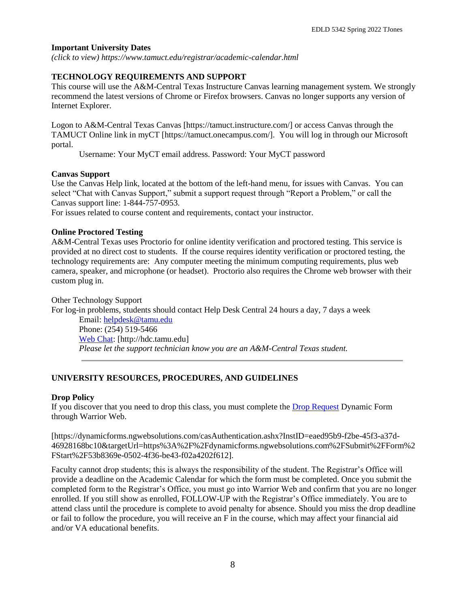# **Important University Dates**

*(click to view) https://www.tamuct.edu/registrar/academic-calendar.html*

# **TECHNOLOGY REQUIREMENTS AND SUPPORT**

This course will use the A&M-Central Texas Instructure Canvas learning management system. We strongly recommend the latest versions of Chrome or Firefox browsers. Canvas no longer supports any version of Internet Explorer.

Logon to A&M-Central Texas Canvas [https://tamuct.instructure.com/] or access Canvas through the TAMUCT Online link in myCT [https://tamuct.onecampus.com/]. You will log in through our Microsoft portal.

Username: Your MyCT email address. Password: Your MyCT password

# **Canvas Support**

Use the Canvas Help link, located at the bottom of the left-hand menu, for issues with Canvas. You can select "Chat with Canvas Support," submit a support request through "Report a Problem," or call the Canvas support line: 1-844-757-0953.

For issues related to course content and requirements, contact your instructor.

# **Online Proctored Testing**

A&M-Central Texas uses Proctorio for online identity verification and proctored testing. This service is provided at no direct cost to students. If the course requires identity verification or proctored testing, the technology requirements are: Any computer meeting the minimum computing requirements, plus web camera, speaker, and microphone (or headset). Proctorio also requires the Chrome web browser with their custom plug in.

Other Technology Support For log-in problems, students should contact Help Desk Central 24 hours a day, 7 days a week Email: [helpdesk@tamu.edu](mailto:helpdesk@tamu.edu) Phone: (254) 519-5466

[Web Chat:](http://hdc.tamu.edu/) [http://hdc.tamu.edu] *Please let the support technician know you are an A&M-Central Texas student.*

# **UNIVERSITY RESOURCES, PROCEDURES, AND GUIDELINES**

## **Drop Policy**

If you discover that you need to drop this class, you must complete the **Drop Request Dynamic Form** through Warrior Web.

[https://dynamicforms.ngwebsolutions.com/casAuthentication.ashx?InstID=eaed95b9-f2be-45f3-a37d-46928168bc10&targetUrl=https%3A%2F%2Fdynamicforms.ngwebsolutions.com%2FSubmit%2FForm%2 FStart%2F53b8369e-0502-4f36-be43-f02a4202f612].

Faculty cannot drop students; this is always the responsibility of the student. The Registrar's Office will provide a deadline on the Academic Calendar for which the form must be completed. Once you submit the completed form to the Registrar's Office, you must go into Warrior Web and confirm that you are no longer enrolled. If you still show as enrolled, FOLLOW-UP with the Registrar's Office immediately. You are to attend class until the procedure is complete to avoid penalty for absence. Should you miss the drop deadline or fail to follow the procedure, you will receive an F in the course, which may affect your financial aid and/or VA educational benefits.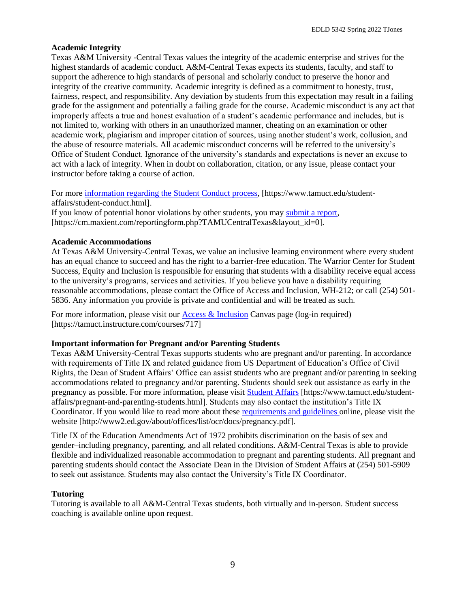## **Academic Integrity**

Texas A&M University -Central Texas values the integrity of the academic enterprise and strives for the highest standards of academic conduct. A&M-Central Texas expects its students, faculty, and staff to support the adherence to high standards of personal and scholarly conduct to preserve the honor and integrity of the creative community. Academic integrity is defined as a commitment to honesty, trust, fairness, respect, and responsibility. Any deviation by students from this expectation may result in a failing grade for the assignment and potentially a failing grade for the course. Academic misconduct is any act that improperly affects a true and honest evaluation of a student's academic performance and includes, but is not limited to, working with others in an unauthorized manner, cheating on an examination or other academic work, plagiarism and improper citation of sources, using another student's work, collusion, and the abuse of resource materials. All academic misconduct concerns will be referred to the university's Office of Student Conduct. Ignorance of the university's standards and expectations is never an excuse to act with a lack of integrity. When in doubt on collaboration, citation, or any issue, please contact your instructor before taking a course of action.

For more [information regarding the Student Conduct process,](https://www.tamuct.edu/student-affairs/student-conduct.html) [https://www.tamuct.edu/studentaffairs/student-conduct.html].

If you know of potential honor violations by other students, you may [submit a report,](https://cm.maxient.com/reportingform.php?TAMUCentralTexas&layout_id=0) [https://cm.maxient.com/reportingform.php?TAMUCentralTexas&layout\_id=0].

## **Academic Accommodations**

At Texas A&M University-Central Texas, we value an inclusive learning environment where every student has an equal chance to succeed and has the right to a barrier-free education. The Warrior Center for Student Success, Equity and Inclusion is responsible for ensuring that students with a disability receive equal access to the university's programs, services and activities. If you believe you have a disability requiring reasonable accommodations, please contact the Office of Access and Inclusion, WH-212; or call (254) 501- 5836. Any information you provide is private and confidential and will be treated as such.

For more information, please visit our [Access & Inclusion](about:blank) Canvas page (log-in required) [https://tamuct.instructure.com/courses/717]

## **Important information for Pregnant and/or Parenting Students**

Texas A&M University-Central Texas supports students who are pregnant and/or parenting. In accordance with requirements of Title IX and related guidance from US Department of Education's Office of Civil Rights, the Dean of Student Affairs' Office can assist students who are pregnant and/or parenting in seeking accommodations related to pregnancy and/or parenting. Students should seek out assistance as early in the pregnancy as possible. For more information, please visit [Student Affairs](about:blank) [https://www.tamuct.edu/studentaffairs/pregnant-and-parenting-students.html]. Students may also contact the institution's Title IX Coordinator. If you would like to read more about these [requirements and guidelines](about:blank) online, please visit the website [http://www2.ed.gov/about/offices/list/ocr/docs/pregnancy.pdf].

Title IX of the Education Amendments Act of 1972 prohibits discrimination on the basis of sex and gender–including pregnancy, parenting, and all related conditions. A&M-Central Texas is able to provide flexible and individualized reasonable accommodation to pregnant and parenting students. All pregnant and parenting students should contact the Associate Dean in the Division of Student Affairs at (254) 501-5909 to seek out assistance. Students may also contact the University's Title IX Coordinator.

## **Tutoring**

Tutoring is available to all A&M-Central Texas students, both virtually and in-person. Student success coaching is available online upon request.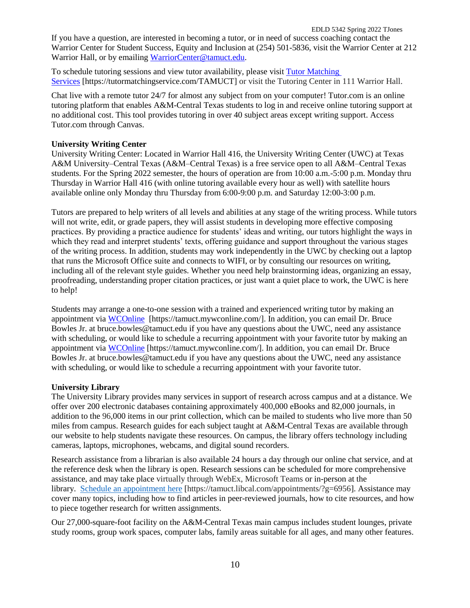EDLD 5342 Spring 2022 TJones If you have a question, are interested in becoming a tutor, or in need of success coaching contact the Warrior Center for Student Success, Equity and Inclusion at (254) 501-5836, visit the Warrior Center at 212 Warrior Hall, or by emailing [WarriorCenter@tamuct.edu.](about:blank)

To schedule tutoring sessions and view tutor availability, please visit Tutor [Matching](about:blank) [Services](about:blank) [https://tutormatchingservice.com/TAMUCT] or visit the Tutoring Center in 111 Warrior Hall.

Chat live with a remote tutor 24/7 for almost any subject from on your computer! Tutor.com is an online tutoring platform that enables A&M-Central Texas students to log in and receive online tutoring support at no additional cost. This tool provides tutoring in over 40 subject areas except writing support. Access Tutor.com through Canvas.

#### **University Writing Center**

University Writing Center: Located in Warrior Hall 416, the University Writing Center (UWC) at Texas A&M University–Central Texas (A&M–Central Texas) is a free service open to all A&M–Central Texas students. For the Spring 2022 semester, the hours of operation are from 10:00 a.m.-5:00 p.m. Monday thru Thursday in Warrior Hall 416 (with online tutoring available every hour as well) with satellite hours available online only Monday thru Thursday from 6:00-9:00 p.m. and Saturday 12:00-3:00 p.m.

Tutors are prepared to help writers of all levels and abilities at any stage of the writing process. While tutors will not write, edit, or grade papers, they will assist students in developing more effective composing practices. By providing a practice audience for students' ideas and writing, our tutors highlight the ways in which they read and interpret students' texts, offering guidance and support throughout the various stages of the writing process. In addition, students may work independently in the UWC by checking out a laptop that runs the Microsoft Office suite and connects to WIFI, or by consulting our resources on writing, including all of the relevant style guides. Whether you need help brainstorming ideas, organizing an essay, proofreading, understanding proper citation practices, or just want a quiet place to work, the UWC is here to help!

Students may arrange a one-to-one session with a trained and experienced writing tutor by making an appointment via [WCOnline](about:blank) [https://tamuct.mywconline.com/]. In addition, you can email Dr. Bruce Bowles Jr. at bruce.bowles@tamuct.edu if you have any questions about the UWC, need any assistance with scheduling, or would like to schedule a recurring appointment with your favorite tutor by making an appointment via [WCOnline](about:blank) [https://tamuct.mywconline.com/]. In addition, you can email Dr. Bruce Bowles Jr. at bruce.bowles@tamuct.edu if you have any questions about the UWC, need any assistance with scheduling, or would like to schedule a recurring appointment with your favorite tutor.

## **University Library**

The University Library provides many services in support of research across campus and at a distance. We offer over 200 electronic databases containing approximately 400,000 eBooks and 82,000 journals, in addition to the 96,000 items in our print collection, which can be mailed to students who live more than 50 miles from campus. Research guides for each subject taught at A&M-Central Texas are available through our website to help students navigate these resources. On campus, the library offers technology including cameras, laptops, microphones, webcams, and digital sound recorders.

Research assistance from a librarian is also available 24 hours a day through our online chat service, and at the reference desk when the library is open. Research sessions can be scheduled for more comprehensive assistance, and may take place virtually through WebEx, Microsoft Teams or in-person at the library. Schedule an [appointment](about:blank) here [https://tamuct.libcal.com/appointments/?g=6956]. Assistance may cover many topics, including how to find articles in peer-reviewed journals, how to cite resources, and how to piece together research for written assignments.

Our 27,000-square-foot facility on the A&M-Central Texas main campus includes student lounges, private study rooms, group work spaces, computer labs, family areas suitable for all ages, and many other features.